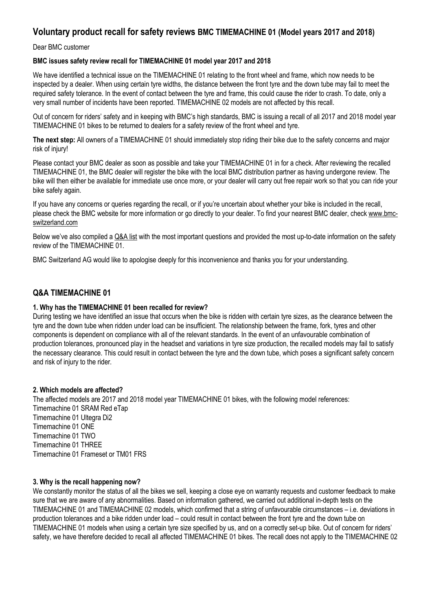# **Voluntary product recall for safety reviews BMC TIMEMACHINE 01 (Model years 2017 and 2018)**

Dear BMC customer

#### **BMC issues safety review recall for TIMEMACHINE 01 model year 2017 and 2018**

We have identified a technical issue on the TIMEMACHINE 01 relating to the front wheel and frame, which now needs to be inspected by a dealer. When using certain tyre widths, the distance between the front tyre and the down tube may fail to meet the required safety tolerance. In the event of contact between the tyre and frame, this could cause the rider to crash. To date, only a very small number of incidents have been reported. TIMEMACHINE 02 models are not affected by this recall.

Out of concern for riders' safety and in keeping with BMC's high standards, BMC is issuing a recall of all 2017 and 2018 model year TIMEMACHINE 01 bikes to be returned to dealers for a safety review of the front wheel and tyre.

**The next step:** All owners of a TIMEMACHINE 01 should immediately stop riding their bike due to the safety concerns and major risk of injury!

Please contact your BMC dealer as soon as possible and take your TIMEMACHINE 01 in for a check. After reviewing the recalled TIMEMACHINE 01, the BMC dealer will register the bike with the local BMC distribution partner as having undergone review. The bike will then either be available for immediate use once more, or your dealer will carry out free repair work so that you can ride your bike safely again.

If you have any concerns or queries regarding the recall, or if you're uncertain about whether your bike is included in the recall, please check the BMC website for more information or go directly to your dealer. To find your nearest BMC dealer, check [www.bmc](http://www.bmc-switzerland.com/)[switzerland.com](http://www.bmc-switzerland.com/)

Below we've also compiled a [Q&A list](http://advancetraders.com.au/Recall-BMC-2017-18-TIMEMACHINE-01-pg32583.html#faq) with the most important questions and provided the most up-to-date information on the safety review of the TIMEMACHINE 01.

BMC Switzerland AG would like to apologise deeply for this inconvenience and thanks you for your understanding.

## **Q&A TIMEMACHINE 01**

#### **1. Why has the TIMEMACHINE 01 been recalled for review?**

During testing we have identified an issue that occurs when the bike is ridden with certain tyre sizes, as the clearance between the tyre and the down tube when ridden under load can be insufficient. The relationship between the frame, fork, tyres and other components is dependent on compliance with all of the relevant standards. In the event of an unfavourable combination of production tolerances, pronounced play in the headset and variations in tyre size production, the recalled models may fail to satisfy the necessary clearance. This could result in contact between the tyre and the down tube, which poses a significant safety concern and risk of injury to the rider.

#### **2. Which models are affected?**

The affected models are 2017 and 2018 model year TIMEMACHINE 01 bikes, with the following model references: Timemachine 01 SRAM Red eTap Timemachine 01 Ultegra Di2 Timemachine 01 ONE Timemachine 01 TWO Timemachine 01 THREE Timemachine 01 Frameset or TM01 FRS

#### **3. Why is the recall happening now?**

We constantly monitor the status of all the bikes we sell, keeping a close eye on warranty requests and customer feedback to make sure that we are aware of any abnormalities. Based on information gathered, we carried out additional in-depth tests on the TIMEMACHINE 01 and TIMEMACHINE 02 models, which confirmed that a string of unfavourable circumstances – i.e. deviations in production tolerances and a bike ridden under load – could result in contact between the front tyre and the down tube on TIMEMACHINE 01 models when using a certain tyre size specified by us, and on a correctly set-up bike. Out of concern for riders' safety, we have therefore decided to recall all affected TIMEMACHINE 01 bikes. The recall does not apply to the TIMEMACHINE 02